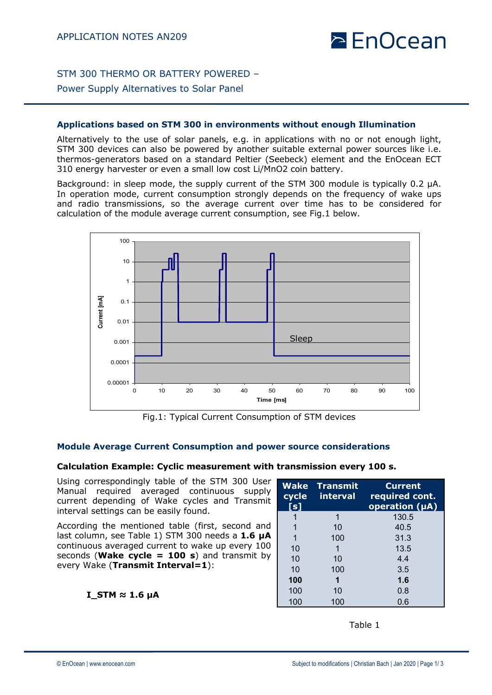## $\geq$  EnOcean

STM 300 THERMO OR BATTERY POWERED –

Power Supply Alternatives to Solar Panel

#### **Applications based on STM 300 in environments without enough Illumination**

Alternatively to the use of solar panels, e.g. in applications with no or not enough light, STM 300 devices can also be powered by another suitable external power sources like i.e. thermos-generators based on a standard Peltier (Seebeck) element and the EnOcean ECT 310 energy harvester or even a small low cost Li/MnO2 coin battery.

Background: in sleep mode, the supply current of the STM 300 module is typically 0.2 µA. In operation mode, current consumption strongly depends on the frequency of wake ups and radio transmissions, so the average current over time has to be considered for calculation of the module average current consumption, see Fig.1 below.



Fig.1: Typical Current Consumption of STM devices

#### **Module Average Current Consumption and power source considerations**

#### **Calculation Example: Cyclic measurement with transmission every 100 s.**

Using correspondingly table of the STM 300 User Manual required averaged continuous supply current depending of Wake cycles and Transmit interval settings can be easily found.

According the mentioned table (first, second and last column, see Table 1) STM 300 needs a **1.6 µA** continuous averaged current to wake up every 100 seconds (**Wake cycle = 100 s**) and transmit by every Wake (**Transmit Interval=1**):

**I\_STM ≈ 1.6 µA**

| <b>Wake</b><br>cycle<br>[s] | <b>Transmit</b><br><b>interval</b> | <b>Current</b><br>required cont.<br>operation (µA) |
|-----------------------------|------------------------------------|----------------------------------------------------|
| 1                           |                                    | 130.5                                              |
| 1                           | 10                                 | 40.5                                               |
| 1                           | 100                                | 31.3                                               |
| 10                          |                                    | 13.5                                               |
| 10                          | 10                                 | 4.4                                                |
| 10                          | 100                                | 3.5                                                |
| 100                         |                                    | 1.6                                                |
| 100                         | 10                                 | 0.8                                                |
| 100                         | 100                                | 0.6                                                |

Table 1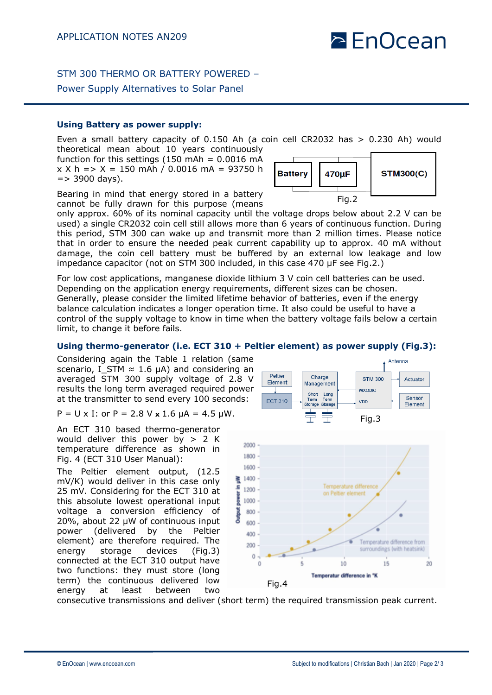# $\geq$  EnOcean

Antenna

### STM 300 THERMO OR BATTERY POWERED –

#### Power Supply Alternatives to Solar Panel

#### **Using Battery as power supply:**

Even a small battery capacity of 0.150 Ah (a coin cell CR2032 has > 0.230 Ah) would theoretical mean about 10 years continuously

function for this settings  $(150 \text{ mAh} = 0.0016 \text{ mA})$  $x X h = > X = 150$  mAh / 0.0016 mA = 93750 h  $=$  > 3900 days).

Bearing in mind that energy stored in a battery cannot be fully drawn for this purpose (means

only approx. 60% of its nominal capacity until the voltage drops below about 2.2 V can be used) a single CR2032 coin cell still allows more than 6 years of continuous function. During this period, STM 300 can wake up and transmit more than 2 million times. Please notice that in order to ensure the needed peak current capability up to approx. 40 mA without damage, the coin cell battery must be buffered by an external low leakage and low impedance capacitor (not on STM 300 included, in this case 470 µF see Fig.2.)

For low cost applications, manganese dioxide lithium 3 V coin cell batteries can be used. Depending on the application energy requirements, different sizes can be chosen. Generally, please consider the limited lifetime behavior of batteries, even if the energy balance calculation indicates a longer operation time. It also could be useful to have a control of the supply voltage to know in time when the battery voltage fails below a certain limit, to change it before fails.

#### **Using thermo-generator (i.e. ECT 310 + Peltier element) as power supply (Fig.3):**

Considering again the Table 1 relation (same scenario, I STM  $\approx$  1.6 µA) and considering an averaged STM 300 supply voltage of 2.8 V results the long term averaged required power at the transmitter to send every 100 seconds:

P =  $U \times I$ : or P = 2.8 V  $\times$  1.6  $\mu$ A = 4.5  $\mu$ W.

An ECT 310 based thermo-generator would deliver this power by  $> 2$  K temperature difference as shown in Fig. 4 (ECT 310 User Manual):

The Peltier element output, (12.5 mV/K) would deliver in this case only 25 mV. Considering for the ECT 310 at this absolute lowest operational input voltage a conversion efficiency of 20%, about 22 µW of continuous input power (delivered by the Peltier element) are therefore required. The energy storage devices (Fig.3) connected at the ECT 310 output have two functions: they must store (long term) the continuous delivered low energy at least between two



consecutive transmissions and deliver (short term) the required transmission peak current.